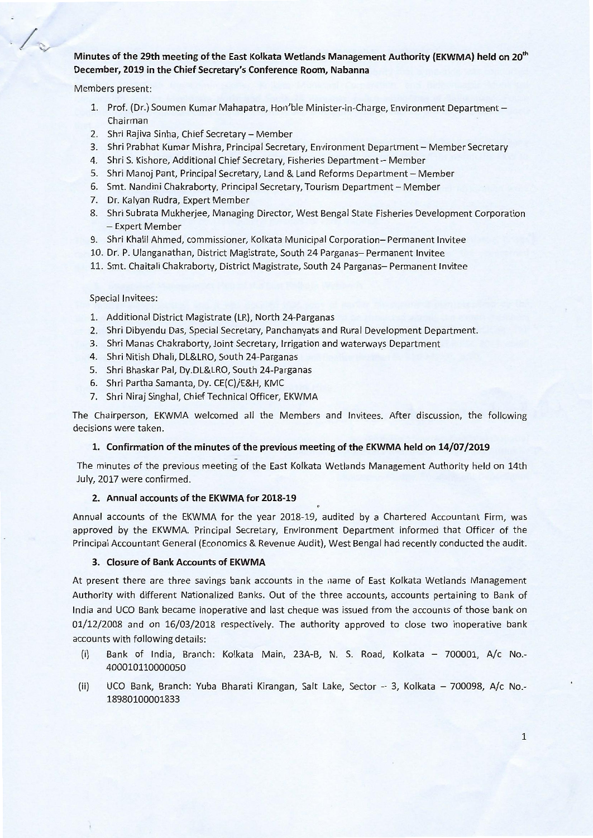# Minutes of the 29th meeting of the East Kolkata Wetlands Management Authority (EKWMA) held on 20<sup>th</sup> December, 2019 in the Chief Secretary's Conference Room, Nabanna

Members present:

- 1. Prof. (Dr.) Soumen Kumar Mahapatra, Hon'ble Minister-in-Charge, Environment Department-Chairman
- 2. Shri Rajiva Sinha, Chief Secretary Member
- 3. Shri Prabhat Kumar Mishra, Principal Secretary, Environment Department Member Secretary
- 4. Shri S. Kishore, Additional Chief Secretary, Fisheries Department Member
- S. Shri Manoj Pant, Principal Secretary, land & land Reforms Department Member
- 6. Smt. Nandini Chakraborty, Principal Secretary, Tourism Department Member
- 7. Dr. Kalyan Rudra, Expert Member
- 8. Shri Subrata Mukherjee, Managing Director, West Bengal State Fisheries Development Corporation - Expert Member
- 9. Shri Khalil Ahmed, commissioner, Kolkata Municipal Corporation- Permanent Invitee
- 10. Dr. P. Ulanganathan, District Magistrate, South 24 Parganas- Permanent Invitee
- 11. Smt. Chaitali Chakraborty, District Magistrate, South 24 Parganas-Permanent Invitee

### Special Invitees:

- 1. Additional District Magistrate (lR), North 24-Parganas
- 2. Shri Dibyendu Das, Special Secretary, Panchanyats and Rural Development Department.
- 3. Shri Manas Chakraborty, Joint Secretary, Irrigation and waterways Department
- 4. Shri Nitish Dhali, Dl&lRO, South 24-Parganas
- S. Shri Bhaskar Pal, Dy.DL&LRO, South 24-Parganas
- 6. Shri Partha Samanta, Dy. CE(C)/E&H, KMC
- 7. Shri Niraj Singhal, Chief Technical Officer, EKWMA

The Chairperson, EKWMA welcomed all the Members and Invitees. After discussion, the following decisions were taken.

#### 1. Confirmation of the minutes of the previous meeting of the EKWMA held on 14/07/2019

- The minutes of the previous meeting of the East Kolkata Wetlands Management Authority held on 14th July, 2017 were confirmed.

# 2. Annual accounts of the EKWMA for 2018-19

Annual accounts of the EKWMA for the year 2018-19, audited by a Chartered Accountant Firm, was approved by the EKWMA. Principal Secretary, Environment Department informed that Officer of the Principal Accountant General (Economics & Revenue Audit), West Bengal had recently conducted the audit.

### 3. Closure of Bank Accounts of EKWMA

At present there are three savings bank accounts in the name of East Kolkata Wetlands Management Authority with different Nationalized Banks. Out of the three accounts, accounts pertaining to Bank of India and UCO Bank became inoperative and last cheque was issued from the accounts of those bank on 01/12/2008 and on 16/03/2018 respectively. The authority approved to close two inoperative bank accounts with following details:

- (i) Bank of India, Branch: Kolkata Main, 23A-B, N. S. Road, Kolkata 700001, A/c No.-4000101100000S0
- (ii) UCO Bank, Branch: Yuba Bharati Kirangan, Salt Lake, Sector 3, Kolkata 700098, A/c No.-18980100001833